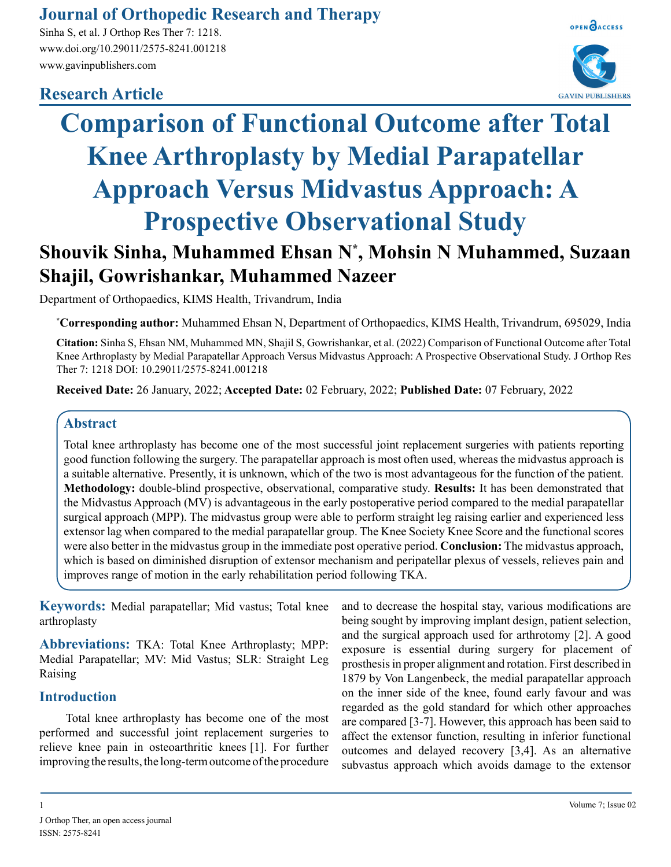## **Journal of Orthopedic Research and Therapy**

Sinha S, et al. J Orthop Res Ther 7: 1218. www.doi.org/10.29011/2575-8241.001218 www.gavinpublishers.com

## **Research Article**



# **Comparison of Functional Outcome after Total Knee Arthroplasty by Medial Parapatellar Approach Versus Midvastus Approach: A Prospective Observational Study**

# **Shouvik Sinha, Muhammed Ehsan N\* , Mohsin N Muhammed, Suzaan Shajil, Gowrishankar, Muhammed Nazeer**

Department of Orthopaedics, KIMS Health, Trivandrum, India

**\* Corresponding author:** Muhammed Ehsan N, Department of Orthopaedics, KIMS Health, Trivandrum, 695029, India

**Citation:** Sinha S, Ehsan NM, Muhammed MN, Shajil S, Gowrishankar, et al. (2022) Comparison of Functional Outcome after Total Knee Arthroplasty by Medial Parapatellar Approach Versus Midvastus Approach: A Prospective Observational Study. J Orthop Res Ther 7: 1218 DOI: 10.29011/2575-8241.001218

**Received Date:** 26 January, 2022; **Accepted Date:** 02 February, 2022; **Published Date:** 07 February, 2022

#### **Abstract**

Total knee arthroplasty has become one of the most successful joint replacement surgeries with patients reporting good function following the surgery. The parapatellar approach is most often used, whereas the midvastus approach is a suitable alternative. Presently, it is unknown, which of the two is most advantageous for the function of the patient. **Methodology:** double-blind prospective, observational, comparative study. **Results:** It has been demonstrated that the Midvastus Approach (MV) is advantageous in the early postoperative period compared to the medial parapatellar surgical approach (MPP). The midvastus group were able to perform straight leg raising earlier and experienced less extensor lag when compared to the medial parapatellar group. The Knee Society Knee Score and the functional scores were also better in the midvastus group in the immediate post operative period. **Conclusion:** The midvastus approach, which is based on diminished disruption of extensor mechanism and peripatellar plexus of vessels, relieves pain and improves range of motion in the early rehabilitation period following TKA.

**Keywords:** Medial parapatellar; Mid vastus; Total knee arthroplasty

**Abbreviations:** TKA: Total Knee Arthroplasty; MPP: Medial Parapatellar; MV: Mid Vastus; SLR: Straight Leg Raising

#### **Introduction**

Total knee arthroplasty has become one of the most performed and successful joint replacement surgeries to relieve knee pain in osteoarthritic knees [1]. For further improving the results, the long-term outcome of the procedure and to decrease the hospital stay, various modifications are being sought by improving implant design, patient selection, and the surgical approach used for arthrotomy [2]. A good exposure is essential during surgery for placement of prosthesis in proper alignment and rotation. First described in 1879 by Von Langenbeck, the medial parapatellar approach on the inner side of the knee, found early favour and was regarded as the gold standard for which other approaches are compared [3-7]. However, this approach has been said to affect the extensor function, resulting in inferior functional outcomes and delayed recovery [3,4]. As an alternative subvastus approach which avoids damage to the extensor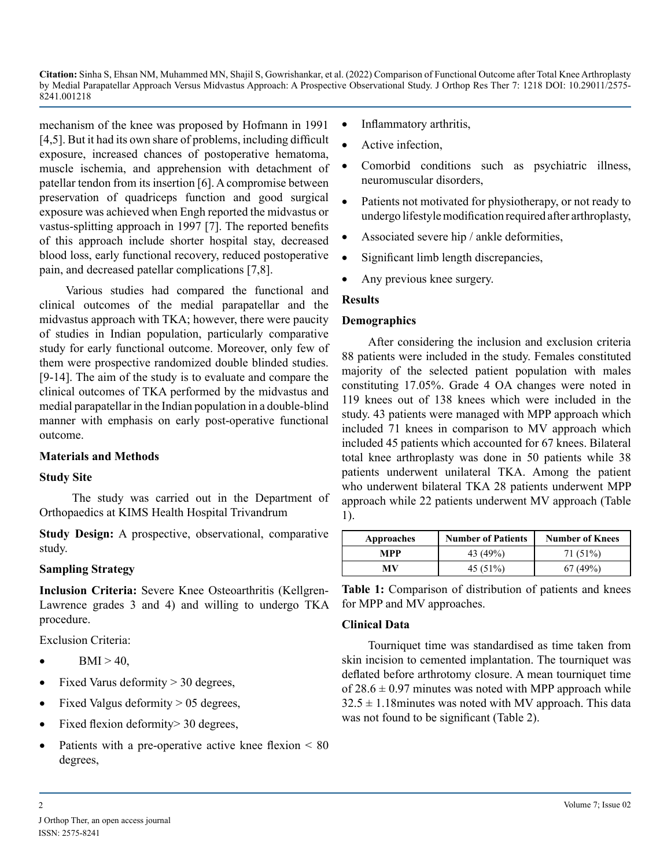mechanism of the knee was proposed by Hofmann in 1991 [4,5]. But it had its own share of problems, including difficult exposure, increased chances of postoperative hematoma, muscle ischemia, and apprehension with detachment of patellar tendon from its insertion [6]. A compromise between preservation of quadriceps function and good surgical exposure was achieved when Engh reported the midvastus or vastus-splitting approach in 1997 [7]. The reported benefits of this approach include shorter hospital stay, decreased blood loss, early functional recovery, reduced postoperative pain, and decreased patellar complications [7,8].

Various studies had compared the functional and clinical outcomes of the medial parapatellar and the midvastus approach with TKA; however, there were paucity of studies in Indian population, particularly comparative study for early functional outcome. Moreover, only few of them were prospective randomized double blinded studies. [9-14]. The aim of the study is to evaluate and compare the clinical outcomes of TKA performed by the midvastus and medial parapatellar in the Indian population in a double-blind manner with emphasis on early post-operative functional outcome.

#### **Materials and Methods**

#### **Study Site**

 The study was carried out in the Department of Orthopaedics at KIMS Health Hospital Trivandrum

**Study Design:** A prospective, observational, comparative study.

#### **Sampling Strategy**

**Inclusion Criteria:** Severe Knee Osteoarthritis (Kellgren-Lawrence grades 3 and 4) and willing to undergo TKA procedure.

Exclusion Criteria:

- $BMI > 40$ ,
- Fixed Varus deformity  $> 30$  degrees,
- Fixed Valgus deformity  $> 05$  degrees,
- Fixed flexion deformity > 30 degrees,
- Patients with a pre-operative active knee flexion  $\leq 80$ degrees,
- Inflammatory arthritis,
- Active infection,
- Comorbid conditions such as psychiatric illness, neuromuscular disorders,
- Patients not motivated for physiotherapy, or not ready to undergo lifestyle modification required after arthroplasty,
- Associated severe hip / ankle deformities,
- Significant limb length discrepancies,
- Any previous knee surgery.

#### **Results**

#### **Demographics**

After considering the inclusion and exclusion criteria 88 patients were included in the study. Females constituted majority of the selected patient population with males constituting 17.05%. Grade 4 OA changes were noted in 119 knees out of 138 knees which were included in the study. 43 patients were managed with MPP approach which included 71 knees in comparison to MV approach which included 45 patients which accounted for 67 knees. Bilateral total knee arthroplasty was done in 50 patients while 38 patients underwent unilateral TKA. Among the patient who underwent bilateral TKA 28 patients underwent MPP approach while 22 patients underwent MV approach (Table 1).

| Approaches | <b>Number of Patients</b> | <b>Number of Knees</b> |
|------------|---------------------------|------------------------|
| MPP        | 43 (49%)                  | 71 (51%)               |
| МV         | 45 (51%)                  | 67(49%)                |

**Table 1:** Comparison of distribution of patients and knees for MPP and MV approaches.

#### **Clinical Data**

Tourniquet time was standardised as time taken from skin incision to cemented implantation. The tourniquet was deflated before arthrotomy closure. A mean tourniquet time of  $28.6 \pm 0.97$  minutes was noted with MPP approach while  $32.5 \pm 1.18$ minutes was noted with MV approach. This data was not found to be significant (Table 2).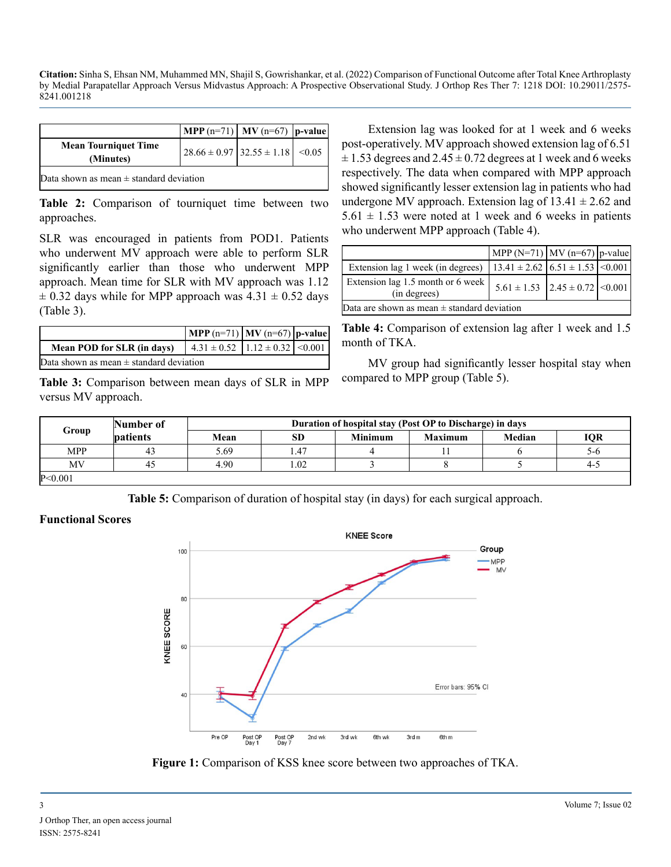|                                             | $ \text{MPP (n=71)} $ MV (n=67)   p-value |  |  |  |  |  |
|---------------------------------------------|-------------------------------------------|--|--|--|--|--|
| <b>Mean Tourniquet Time</b><br>(Minutes)    | $28.66 \pm 0.97$ $32.55 \pm 1.18$ < 0.05  |  |  |  |  |  |
| Data shown as mean $\pm$ standard deviation |                                           |  |  |  |  |  |

**Table 2:** Comparison of tourniquet time between two approaches.

SLR was encouraged in patients from POD1. Patients who underwent MV approach were able to perform SLR significantly earlier than those who underwent MPP approach. Mean time for SLR with MV approach was 1.12  $\pm$  0.32 days while for MPP approach was 4.31  $\pm$  0.52 days (Table 3).

|                                             | $\left  \text{ MPP (n=71)} \right  \text{MV (n=67)}   \text{p-value}  $ |  |  |  |  |  |
|---------------------------------------------|-------------------------------------------------------------------------|--|--|--|--|--|
| Mean POD for SLR (in days)                  | $\vert$ 4.31 ± 0.52 $\vert$ 1.12 ± 0.32 $\vert$ <0.001                  |  |  |  |  |  |
| Data shown as mean $\pm$ standard deviation |                                                                         |  |  |  |  |  |

**Table 3:** Comparison between mean days of SLR in MPP versus MV approach.

Extension lag was looked for at 1 week and 6 weeks post-operatively. MV approach showed extension lag of 6.51  $\pm$  1.53 degrees and 2.45  $\pm$  0.72 degrees at 1 week and 6 weeks respectively. The data when compared with MPP approach showed significantly lesser extension lag in patients who had undergone MV approach. Extension lag of  $13.41 \pm 2.62$  and  $5.61 \pm 1.53$  were noted at 1 week and 6 weeks in patients who underwent MPP approach (Table 4).

|                                                                                | $\left[ MPP (N=71) \right] MV (n=67) \left[ p-value \right]$ |  |  |  |  |  |
|--------------------------------------------------------------------------------|--------------------------------------------------------------|--|--|--|--|--|
| Extension lag 1 week (in degrees) $  13.41 \pm 2.62   6.51 \pm 1.53   0.001  $ |                                                              |  |  |  |  |  |
| Extension lag 1.5 month or 6 week<br>(in degrees)                              | $5.61 \pm 1.53$   2.45 $\pm$ 0.72   < 0.001                  |  |  |  |  |  |
| Data are shown as mean $\pm$ standard deviation                                |                                                              |  |  |  |  |  |

**Table 4:** Comparison of extension lag after 1 week and 1.5 month of TKA.

MV group had significantly lesser hospital stay when compared to MPP group (Table 5).

|            | Number of       | Duration of hospital stay (Post OP to Discharge) in days |           |                |                |        |            |
|------------|-----------------|----------------------------------------------------------|-----------|----------------|----------------|--------|------------|
| Group      | <b>patients</b> | Mean                                                     | <b>SD</b> | <b>Minimum</b> | <b>Maximum</b> | Median | <b>IQR</b> |
| <b>MPP</b> | 43              | 5.69                                                     | 1.47      |                |                |        | 5-6        |
| MV         | 40              | 4.90                                                     | 1.02      |                |                |        | 4-5        |
| P < 0.001  |                 |                                                          |           |                |                |        |            |

**Table 5:** Comparison of duration of hospital stay (in days) for each surgical approach.

#### **Functional Scores**



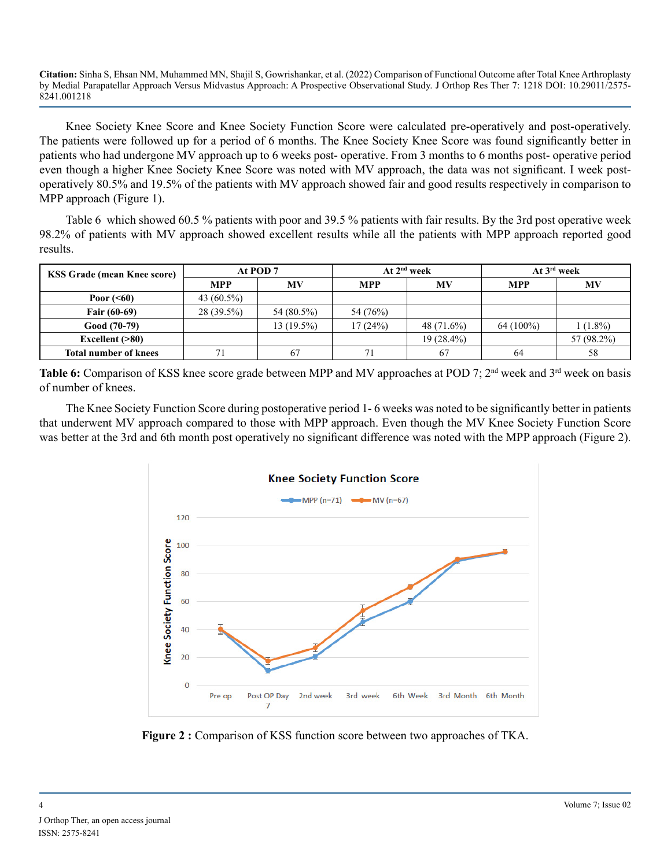Knee Society Knee Score and Knee Society Function Score were calculated pre-operatively and post-operatively. The patients were followed up for a period of 6 months. The Knee Society Knee Score was found significantly better in patients who had undergone MV approach up to 6 weeks post- operative. From 3 months to 6 months post- operative period even though a higher Knee Society Knee Score was noted with MV approach, the data was not significant. I week postoperatively 80.5% and 19.5% of the patients with MV approach showed fair and good results respectively in comparison to MPP approach (Figure 1).

Table 6 which showed 60.5 % patients with poor and 39.5 % patients with fair results. By the 3rd post operative week 98.2% of patients with MV approach showed excellent results while all the patients with MPP approach reported good results.

| <b>KSS Grade (mean Knee score)</b> | At POD 7      |              | At $2nd$ week |              | At $3^{\text{rd}}$ week |            |
|------------------------------------|---------------|--------------|---------------|--------------|-------------------------|------------|
|                                    | <b>MPP</b>    | <b>MV</b>    | <b>MPP</b>    | MV           | <b>MPP</b>              | MV         |
| Poor $(60)$                        | 43 $(60.5\%)$ |              |               |              |                         |            |
| <b>Fair (60-69)</b>                | $28(39.5\%)$  | 54 (80.5%)   | 54 (76%)      |              |                         |            |
| $Good (70-79)$                     |               | $13(19.5\%)$ | 17(24%)       | 48 (71.6%)   | $64(100\%)$             | $(1.8\%)$  |
| Excellent $( >80)$                 |               |              |               | $19(28.4\%)$ |                         | 57 (98.2%) |
| <b>Total number of knees</b>       | 71            | 67           |               | 67           | 64                      | 58         |

**Table 6:** Comparison of KSS knee score grade between MPP and MV approaches at POD 7; 2<sup>nd</sup> week and 3<sup>rd</sup> week on basis of number of knees.

The Knee Society Function Score during postoperative period 1- 6 weeks was noted to be significantly better in patients that underwent MV approach compared to those with MPP approach. Even though the MV Knee Society Function Score was better at the 3rd and 6th month post operatively no significant difference was noted with the MPP approach (Figure 2).



**Figure 2 :** Comparison of KSS function score between two approaches of TKA.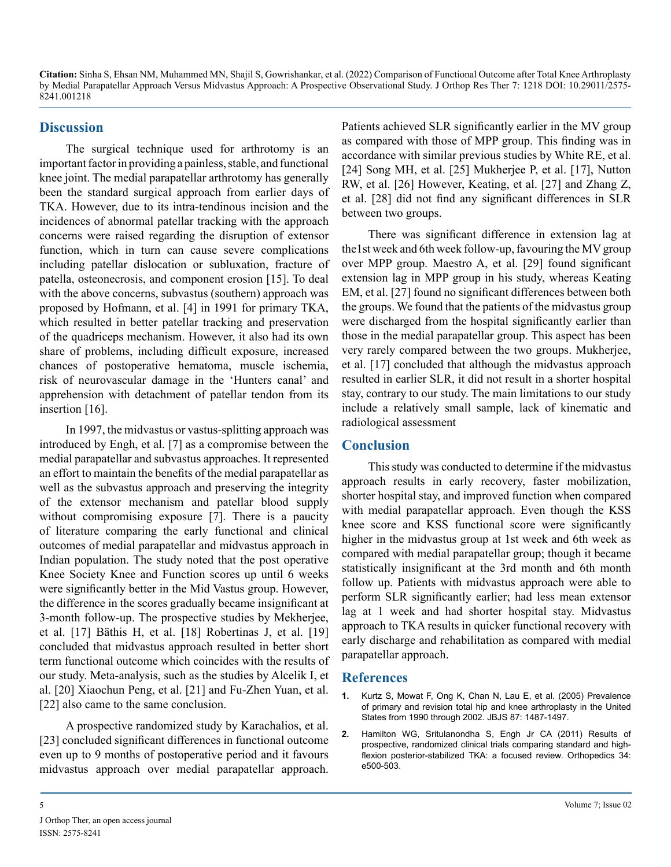#### **Discussion**

The surgical technique used for arthrotomy is an important factor in providing a painless, stable, and functional knee joint. The medial parapatellar arthrotomy has generally been the standard surgical approach from earlier days of TKA. However, due to its intra-tendinous incision and the incidences of abnormal patellar tracking with the approach concerns were raised regarding the disruption of extensor function, which in turn can cause severe complications including patellar dislocation or subluxation, fracture of patella, osteonecrosis, and component erosion [15]. To deal with the above concerns, subvastus (southern) approach was proposed by Hofmann, et al. [4] in 1991 for primary TKA, which resulted in better patellar tracking and preservation of the quadriceps mechanism. However, it also had its own share of problems, including difficult exposure, increased chances of postoperative hematoma, muscle ischemia, risk of neurovascular damage in the 'Hunters canal' and apprehension with detachment of patellar tendon from its insertion [16].

In 1997, the midvastus or vastus-splitting approach was introduced by Engh, et al. [7] as a compromise between the medial parapatellar and subvastus approaches. It represented an effort to maintain the benefits of the medial parapatellar as well as the subvastus approach and preserving the integrity of the extensor mechanism and patellar blood supply without compromising exposure [7]. There is a paucity of literature comparing the early functional and clinical outcomes of medial parapatellar and midvastus approach in Indian population. The study noted that the post operative Knee Society Knee and Function scores up until 6 weeks were significantly better in the Mid Vastus group. However, the difference in the scores gradually became insignificant at 3-month follow-up. The prospective studies by Mekherjee, et al. [17] Bäthis H, et al. [18] Robertinas J, et al. [19] concluded that midvastus approach resulted in better short term functional outcome which coincides with the results of our study. Meta-analysis, such as the studies by Alcelik I, et al. [20] Xiaochun Peng, et al. [21] and Fu-Zhen Yuan, et al. [22] also came to the same conclusion.

A prospective randomized study by Karachalios, et al. [23] concluded significant differences in functional outcome even up to 9 months of postoperative period and it favours midvastus approach over medial parapatellar approach. Patients achieved SLR significantly earlier in the MV group as compared with those of MPP group. This finding was in accordance with similar previous studies by White RE, et al. [24] Song MH, et al. [25] Mukherjee P, et al. [17], Nutton RW, et al. [26] However, Keating, et al. [27] and Zhang Z, et al. [28] did not find any significant differences in SLR between two groups.

There was significant difference in extension lag at the1st week and 6th week follow-up, favouring the MV group over MPP group. Maestro A, et al. [29] found significant extension lag in MPP group in his study, whereas Keating EM, et al. [27] found no significant differences between both the groups. We found that the patients of the midvastus group were discharged from the hospital significantly earlier than those in the medial parapatellar group. This aspect has been very rarely compared between the two groups. Mukherjee, et al. [17] concluded that although the midvastus approach resulted in earlier SLR, it did not result in a shorter hospital stay, contrary to our study. The main limitations to our study include a relatively small sample, lack of kinematic and radiological assessment

#### **Conclusion**

This study was conducted to determine if the midvastus approach results in early recovery, faster mobilization, shorter hospital stay, and improved function when compared with medial parapatellar approach. Even though the KSS knee score and KSS functional score were significantly higher in the midvastus group at 1st week and 6th week as compared with medial parapatellar group; though it became statistically insignificant at the 3rd month and 6th month follow up. Patients with midvastus approach were able to perform SLR significantly earlier; had less mean extensor lag at 1 week and had shorter hospital stay. Midvastus approach to TKA results in quicker functional recovery with early discharge and rehabilitation as compared with medial parapatellar approach.

#### **References**

- **1.** [Kurtz S, Mowat F, Ong K, Chan N, Lau E, et al. \(2005\) Prevalence](https://journals.lww.com/jbjsjournal/Abstract/2005/07000/Prevalence_of_Primary_and_Revision_Total_Hip_and.10.aspx#:~:text=The number of revision total,1990 to 35%2C000 in 2002.)  [of primary and revision total hip and knee arthroplasty in the United](https://journals.lww.com/jbjsjournal/Abstract/2005/07000/Prevalence_of_Primary_and_Revision_Total_Hip_and.10.aspx#:~:text=The number of revision total,1990 to 35%2C000 in 2002.)  [States from 1990 through 2002. JBJS 87: 1487-1497.](https://journals.lww.com/jbjsjournal/Abstract/2005/07000/Prevalence_of_Primary_and_Revision_Total_Hip_and.10.aspx#:~:text=The number of revision total,1990 to 35%2C000 in 2002.)
- **2.** [Hamilton WG, Sritulanondha S, Engh Jr CA \(2011\) Results of](https://pubmed.ncbi.nlm.nih.gov/21902144/)  [prospective, randomized clinical trials comparing standard and high](https://pubmed.ncbi.nlm.nih.gov/21902144/)[flexion posterior-stabilized TKA: a focused review. Orthopedics 34:](https://pubmed.ncbi.nlm.nih.gov/21902144/)  [e500-503.](https://pubmed.ncbi.nlm.nih.gov/21902144/)